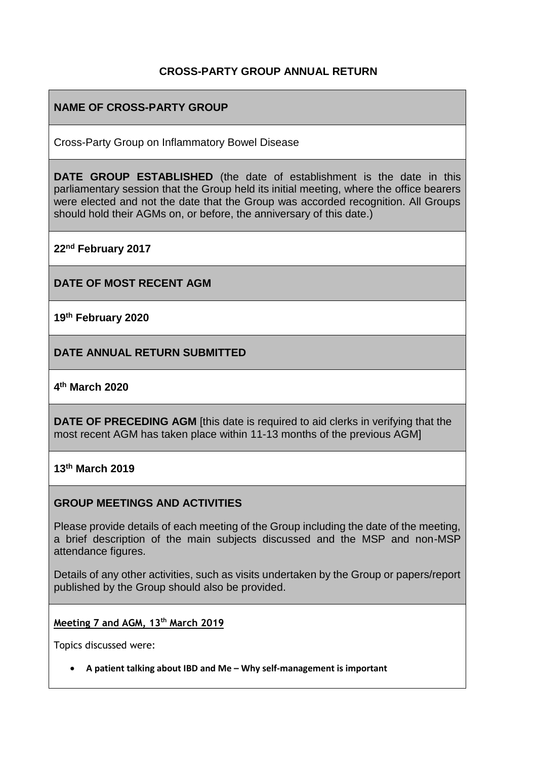### **CROSS-PARTY GROUP ANNUAL RETURN**

## **NAME OF CROSS-PARTY GROUP**

Cross-Party Group on Inflammatory Bowel Disease

**DATE GROUP ESTABLISHED** (the date of establishment is the date in this parliamentary session that the Group held its initial meeting, where the office bearers were elected and not the date that the Group was accorded recognition. All Groups should hold their AGMs on, or before, the anniversary of this date.)

**22nd February 2017**

**DATE OF MOST RECENT AGM**

**19th February 2020**

**DATE ANNUAL RETURN SUBMITTED**

**4 th March 2020**

**DATE OF PRECEDING AGM** [this date is required to aid clerks in verifying that the most recent AGM has taken place within 11-13 months of the previous AGM]

**13th March 2019**

#### **GROUP MEETINGS AND ACTIVITIES**

Please provide details of each meeting of the Group including the date of the meeting, a brief description of the main subjects discussed and the MSP and non-MSP attendance figures.

Details of any other activities, such as visits undertaken by the Group or papers/report published by the Group should also be provided.

**Meeting 7 and AGM, 13th March 2019**

Topics discussed were:

• **A patient talking about IBD and Me – Why self-management is important**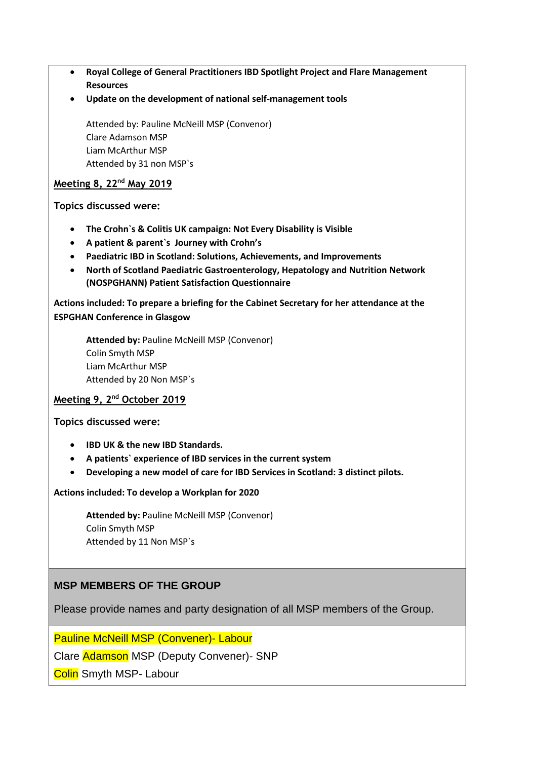- **Royal College of General Practitioners IBD Spotlight Project and Flare Management Resources**
- **Update on the development of national self-management tools**

Attended by: Pauline McNeill MSP (Convenor) Clare Adamson MSP Liam McArthur MSP Attended by 31 non MSP`s

#### **Meeting 8, 22nd May 2019**

**Topics discussed were:**

- **The Crohn`s & Colitis UK campaign: Not Every Disability is Visible**
- **A patient & parent`s Journey with Crohn's**
- **Paediatric IBD in Scotland: Solutions, Achievements, and Improvements**
- **North of Scotland Paediatric Gastroenterology, Hepatology and Nutrition Network (NOSPGHANN) Patient Satisfaction Questionnaire**

**Actions included: To prepare a briefing for the Cabinet Secretary for her attendance at the ESPGHAN Conference in Glasgow**

**Attended by:** Pauline McNeill MSP (Convenor) Colin Smyth MSP Liam McArthur MSP Attended by 20 Non MSP`s

#### **Meeting 9, 2nd October 2019**

**Topics discussed were:** 

- **IBD UK & the new IBD Standards.**
- **A patients` experience of IBD services in the current system**
- **Developing a new model of care for IBD Services in Scotland: 3 distinct pilots.**

**Actions included: To develop a Workplan for 2020**

**Attended by:** Pauline McNeill MSP (Convenor) Colin Smyth MSP Attended by 11 Non MSP`s

### **MSP MEMBERS OF THE GROUP**

Please provide names and party designation of all MSP members of the Group.

Pauline McNeill MSP (Convener)- Labour

Clare Adamson MSP (Deputy Convener)- SNP

**Colin** Smyth MSP- Labour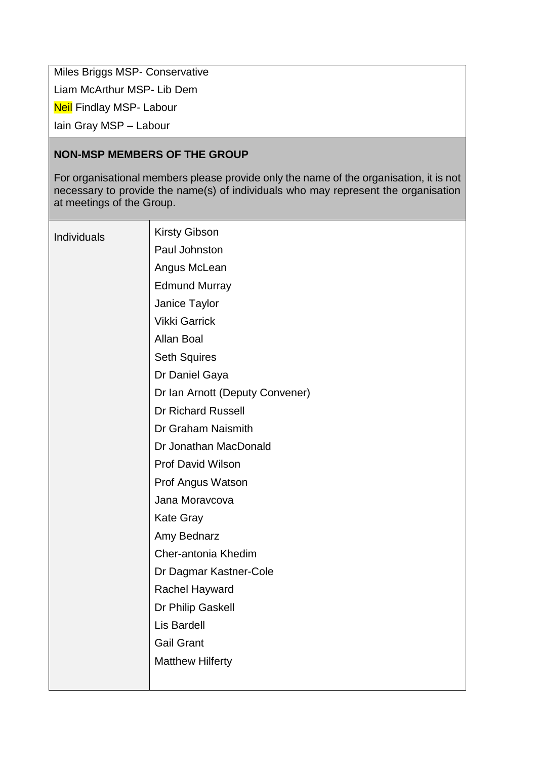Miles Briggs MSP- Conservative

Liam McArthur MSP- Lib Dem

**Neil Findlay MSP- Labour** 

Iain Gray MSP – Labour

### **NON-MSP MEMBERS OF THE GROUP**

For organisational members please provide only the name of the organisation, it is not necessary to provide the name(s) of individuals who may represent the organisation at meetings of the Group.

| <b>Individuals</b> | <b>Kirsty Gibson</b>            |
|--------------------|---------------------------------|
|                    | Paul Johnston                   |
|                    | Angus McLean                    |
|                    | <b>Edmund Murray</b>            |
|                    | Janice Taylor                   |
|                    | <b>Vikki Garrick</b>            |
|                    | Allan Boal                      |
|                    | <b>Seth Squires</b>             |
|                    | Dr Daniel Gaya                  |
|                    | Dr Ian Arnott (Deputy Convener) |
|                    | <b>Dr Richard Russell</b>       |
|                    | Dr Graham Naismith              |
|                    | Dr Jonathan MacDonald           |
|                    | <b>Prof David Wilson</b>        |
|                    | Prof Angus Watson               |
|                    | Jana Moravcova                  |
|                    | <b>Kate Gray</b>                |
|                    | Amy Bednarz                     |
|                    | Cher-antonia Khedim             |
|                    | Dr Dagmar Kastner-Cole          |
|                    | <b>Rachel Hayward</b>           |
|                    | Dr Philip Gaskell               |
|                    | Lis Bardell                     |
|                    | <b>Gail Grant</b>               |
|                    | <b>Matthew Hilferty</b>         |
|                    |                                 |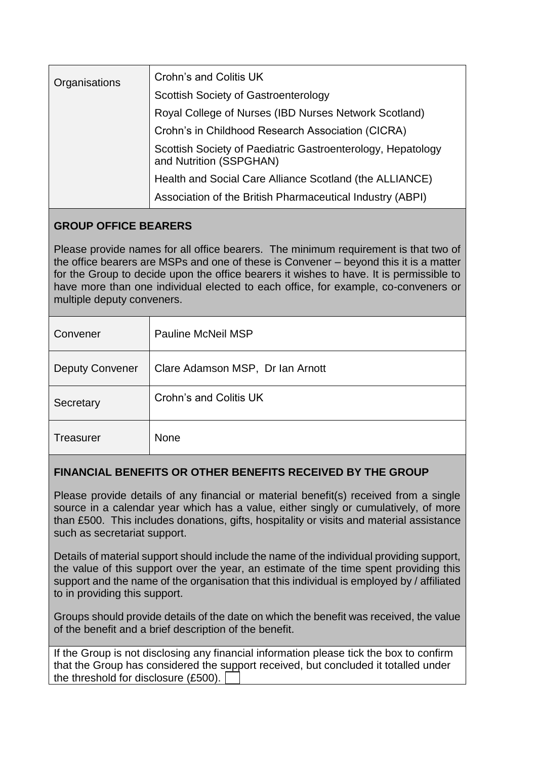| Organisations | Crohn's and Colitis UK                                                                 |
|---------------|----------------------------------------------------------------------------------------|
|               | Scottish Society of Gastroenterology                                                   |
|               | Royal College of Nurses (IBD Nurses Network Scotland)                                  |
|               | Crohn's in Childhood Research Association (CICRA)                                      |
|               | Scottish Society of Paediatric Gastroenterology, Hepatology<br>and Nutrition (SSPGHAN) |
|               | Health and Social Care Alliance Scotland (the ALLIANCE)                                |
|               | Association of the British Pharmaceutical Industry (ABPI)                              |
|               |                                                                                        |

# **GROUP OFFICE BEARERS**

Please provide names for all office bearers. The minimum requirement is that two of the office bearers are MSPs and one of these is Convener – beyond this it is a matter for the Group to decide upon the office bearers it wishes to have. It is permissible to have more than one individual elected to each office, for example, co-conveners or multiple deputy conveners.

| Convener               | Pauline McNeil MSP               |
|------------------------|----------------------------------|
| <b>Deputy Convener</b> | Clare Adamson MSP, Dr Ian Arnott |
| Secretary              | Crohn's and Colitis UK           |
| <b>Treasurer</b>       | <b>None</b>                      |

# **FINANCIAL BENEFITS OR OTHER BENEFITS RECEIVED BY THE GROUP**

Please provide details of any financial or material benefit(s) received from a single source in a calendar year which has a value, either singly or cumulatively, of more than £500. This includes donations, gifts, hospitality or visits and material assistance such as secretariat support.

Details of material support should include the name of the individual providing support, the value of this support over the year, an estimate of the time spent providing this support and the name of the organisation that this individual is employed by / affiliated to in providing this support.

Groups should provide details of the date on which the benefit was received, the value of the benefit and a brief description of the benefit.

| If the Group is not disclosing any financial information please tick the box to confirm |  |  |  |  |
|-----------------------------------------------------------------------------------------|--|--|--|--|
| that the Group has considered the support received, but concluded it totalled under     |  |  |  |  |
| the threshold for disclosure $(E500)$ .                                                 |  |  |  |  |